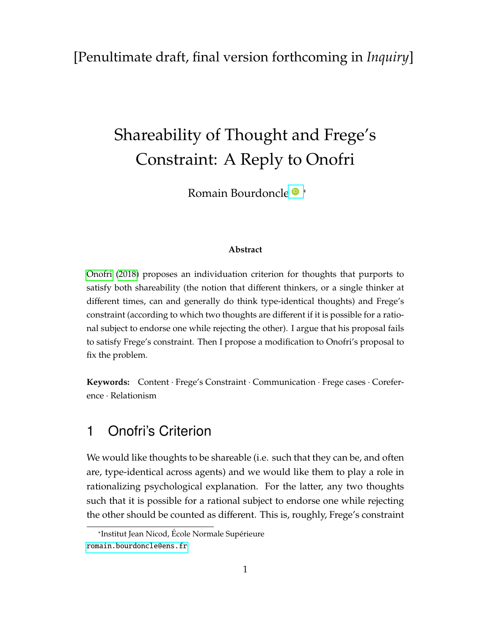#### <span id="page-0-0"></span>[Penultimate draft, final version forthcoming in *Inquiry*]

# Shareability of Thought and Frege's Constraint: A Reply to Onofri

Romain Bourdoncle<sup>®</sup> \*

#### **Abstract**

[Onofri](#page-10-0) [\(2018\)](#page-10-0) proposes an individuation criterion for thoughts that purports to satisfy both shareability (the notion that different thinkers, or a single thinker at different times, can and generally do think type-identical thoughts) and Frege's constraint (according to which two thoughts are different if it is possible for a rational subject to endorse one while rejecting the other). I argue that his proposal fails to satisfy Frege's constraint. Then I propose a modification to Onofri's proposal to fix the problem.

**Keywords:** Content · Frege's Constraint · Communication · Frege cases · Coreference · Relationism

#### 1 Onofri's Criterion

We would like thoughts to be shareable (i.e. such that they can be, and often are, type-identical across agents) and we would like them to play a role in rationalizing psychological explanation. For the latter, any two thoughts such that it is possible for a rational subject to endorse one while rejecting the other should be counted as different. This is, roughly, Frege's constraint

<sup>\*</sup>Institut Jean Nicod, École Normale Supérieure [romain.bourdoncle@ens.fr](mailto:romain.bourdoncle@ens.fr)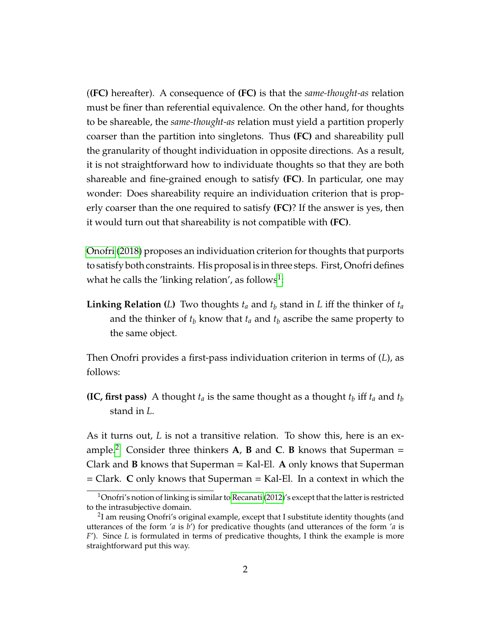(**(FC)** hereafter). A consequence of **(FC)** is that the *same-thought-as* relation must be finer than referential equivalence. On the other hand, for thoughts to be shareable, the *same-thought-as* relation must yield a partition properly coarser than the partition into singletons. Thus **(FC)** and shareability pull the granularity of thought individuation in opposite directions. As a result, it is not straightforward how to individuate thoughts so that they are both shareable and fine-grained enough to satisfy **(FC)**. In particular, one may wonder: Does shareability require an individuation criterion that is properly coarser than the one required to satisfy **(FC)**? If the answer is yes, then it would turn out that shareability is not compatible with **(FC)**.

[Onofri](#page-10-0) [\(2018\)](#page-10-0) proposes an individuation criterion for thoughts that purports to satisfy both constraints. His proposal is in three steps. First, Onofri defines what he calls the 'linking relation', as follows $^1$  $^1$ :

**Linking Relation** (*L*) Two thoughts  $t_a$  and  $t_b$  stand in *L* iff the thinker of  $t_a$ and the thinker of  $t_b$  know that  $t_a$  and  $t_b$  ascribe the same property to the same object.

Then Onofri provides a first-pass individuation criterion in terms of (*L*), as follows:

**(IC, first pass)** A thought  $t_a$  is the same thought as a thought  $t_b$  iff  $t_a$  and  $t_b$ stand in *L*.

As it turns out, *L* is not a transitive relation. To show this, here is an ex-ample.<sup>[2](#page-0-0)</sup> Consider three thinkers  $\bf{A}$ ,  $\bf{B}$  and  $\bf{C}$ .  $\bf{B}$  knows that Superman  $=$ Clark and **B** knows that Superman = Kal-El. **A** only knows that Superman = Clark. **C** only knows that Superman = Kal-El. In a context in which the

 $1$ Onofri's notion of linking is similar to [Recanati](#page-10-1) [\(2012\)](#page-10-1)'s except that the latter is restricted to the intrasubjective domain.

 $^2$ I am reusing Onofri's original example, except that I substitute identity thoughts (and utterances of the form '*a* is *b*') for predicative thoughts (and utterances of the form '*a* is *F*'). Since *L* is formulated in terms of predicative thoughts, I think the example is more straightforward put this way.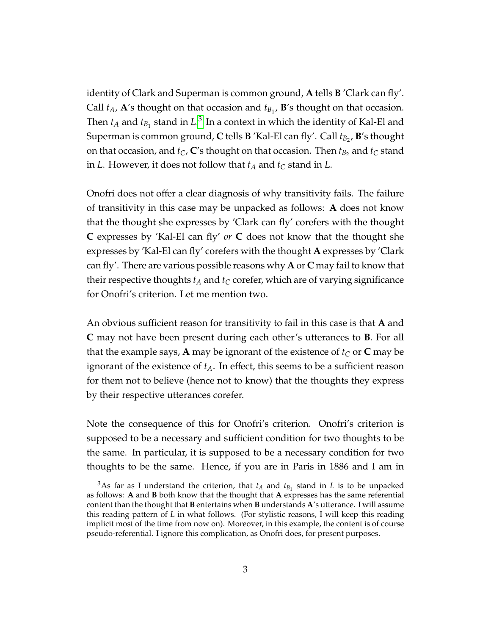identity of Clark and Superman is common ground, **A** tells **B** 'Clark can fly'. Call  $t_A$ , **A**'s thought on that occasion and  $t_{B_1}$ , **B**'s thought on that occasion. Then  $t_A$  and  $t_{B_1}$  stand in  $L^3$  $L^3$  In a context in which the identity of Kal-El and Superman is common ground, **C** tells **B** 'Kal-El can fly'. Call *tB*<sup>2</sup> , **B**'s thought on that occasion, and  $t_C$ ,  $\mathbf{C}'$ s thought on that occasion. Then  $t_{B_2}$  and  $t_C$  stand in *L*. However, it does not follow that  $t_A$  and  $t_C$  stand in *L*.

Onofri does not offer a clear diagnosis of why transitivity fails. The failure of transitivity in this case may be unpacked as follows: **A** does not know that the thought she expresses by 'Clark can fly' corefers with the thought **C** expresses by 'Kal-El can fly' *or* **C** does not know that the thought she expresses by 'Kal-El can fly' corefers with the thought **A** expresses by 'Clark can fly'. There are various possible reasons why **A** or **C** may fail to know that their respective thoughts  $t_A$  and  $t_C$  corefer, which are of varying significance for Onofri's criterion. Let me mention two.

An obvious sufficient reason for transitivity to fail in this case is that **A** and **C** may not have been present during each other's utterances to **B**. For all that the example says, **A** may be ignorant of the existence of  $t_C$  or **C** may be ignorant of the existence of  $t_A$ . In effect, this seems to be a sufficient reason for them not to believe (hence not to know) that the thoughts they express by their respective utterances corefer.

Note the consequence of this for Onofri's criterion. Onofri's criterion is supposed to be a necessary and sufficient condition for two thoughts to be the same. In particular, it is supposed to be a necessary condition for two thoughts to be the same. Hence, if you are in Paris in 1886 and I am in

<sup>&</sup>lt;sup>3</sup>As far as I understand the criterion, that  $t_A$  and  $t_{B_1}$  stand in *L* is to be unpacked as follows: **A** and **B** both know that the thought that **A** expresses has the same referential content than the thought that **B** entertains when **B** understands **A**'s utterance. I will assume this reading pattern of *L* in what follows. (For stylistic reasons, I will keep this reading implicit most of the time from now on). Moreover, in this example, the content is of course pseudo-referential. I ignore this complication, as Onofri does, for present purposes.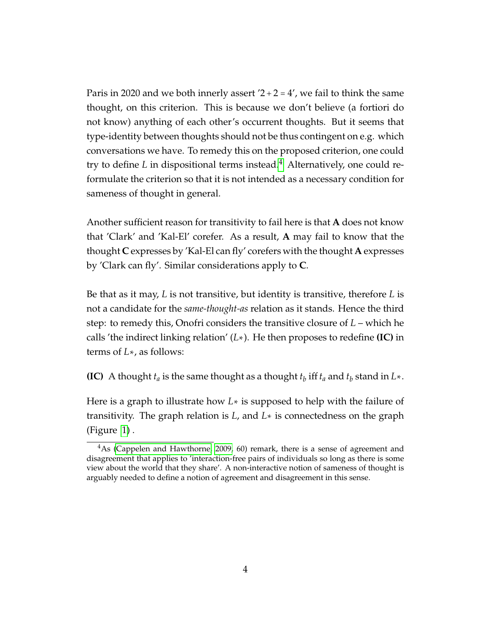Paris in 2020 and we both innerly assert  $2+2=4'$ , we fail to think the same thought, on this criterion. This is because we don't believe (a fortiori do not know) anything of each other's occurrent thoughts. But it seems that type-identity between thoughts should not be thus contingent on e.g. which conversations we have. To remedy this on the proposed criterion, one could try to define *L* in dispositional terms instead.<sup>[4](#page-0-0)</sup> Alternatively, one could reformulate the criterion so that it is not intended as a necessary condition for sameness of thought in general.

Another sufficient reason for transitivity to fail here is that **A** does not know that 'Clark' and 'Kal-El' corefer. As a result, **A** may fail to know that the thought **C** expresses by 'Kal-El can fly' corefers with the thought **A** expresses by 'Clark can fly'. Similar considerations apply to **C**.

Be that as it may, *L* is not transitive, but identity is transitive, therefore *L* is not a candidate for the *same-thought-as* relation as it stands. Hence the third step: to remedy this, Onofri considers the transitive closure of *L* – which he calls 'the indirect linking relation' (*L*∗). He then proposes to redefine **(IC)** in terms of *L*∗, as follows:

**(IC)** A thought  $t_a$  is the same thought as a thought  $t_b$  iff  $t_a$  and  $t_b$  stand in  $L*$ .

Here is a graph to illustrate how *L*∗ is supposed to help with the failure of transitivity. The graph relation is *L*, and *L*∗ is connectedness on the graph (Figure [1\)](#page-4-0) .

 $4$ As [\(Cappelen and Hawthorne, 2009,](#page-10-2) 60) remark, there is a sense of agreement and disagreement that applies to 'interaction-free pairs of individuals so long as there is some view about the world that they share'. A non-interactive notion of sameness of thought is arguably needed to define a notion of agreement and disagreement in this sense.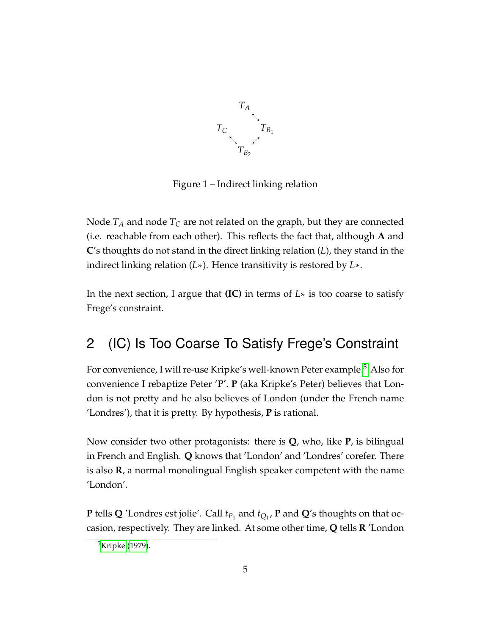<span id="page-4-0"></span>

Figure 1 – Indirect linking relation

Node  $T_A$  and node  $T_C$  are not related on the graph, but they are connected (i.e. reachable from each other). This reflects the fact that, although **A** and **C**'s thoughts do not stand in the direct linking relation (*L*), they stand in the indirect linking relation (*L*∗). Hence transitivity is restored by *L*∗.

In the next section, I argue that **(IC)** in terms of *L*∗ is too coarse to satisfy Frege's constraint.

### 2 (IC) Is Too Coarse To Satisfy Frege's Constraint

For convenience, I will re-use Kripke's well-known Peter example.<sup>[5](#page-0-0)</sup> Also for convenience I rebaptize Peter '**P**'. **P** (aka Kripke's Peter) believes that London is not pretty and he also believes of London (under the French name 'Londres'), that it is pretty. By hypothesis, **P** is rational.

Now consider two other protagonists: there is **Q**, who, like **P**, is bilingual in French and English. **Q** knows that 'London' and 'Londres' corefer. There is also **R**, a normal monolingual English speaker competent with the name 'London'.

**P** tells **Q** 'Londres est jolie'. Call  $t_{P_1}$  and  $t_{Q_1}$ , **P** and **Q**'s thoughts on that occasion, respectively. They are linked. At some other time, **Q** tells **R** 'London

<sup>5</sup>[Kripke](#page-10-3) [\(1979\)](#page-10-3).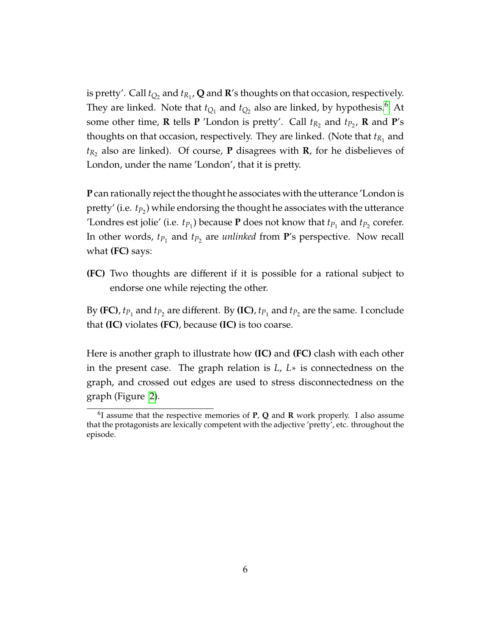is pretty'. Call *tQ*<sup>2</sup> and *tR*<sup>1</sup> , **Q** and **R**'s thoughts on that occasion, respectively. They are linked. Note that  $t_{Q_1}$  and  $t_{Q_2}$  also are linked, by hypothesis.<sup>[6](#page-0-0)</sup> At some other time, **R** tells **P** 'London is pretty'. Call  $t_{R_2}$  and  $t_{P_2}$ , **R** and **P**'s thoughts on that occasion, respectively. They are linked. (Note that  $t_{R_1}$  and *tR*2 also are linked). Of course, **P** disagrees with **R**, for he disbelieves of London, under the name 'London', that it is pretty.

**P** can rationally reject the thought he associates with the utterance 'London is pretty' (i.e.  $t_{P_2}$ ) while endorsing the thought he associates with the utterance 'Londres est jolie' (i.e.  $t_{P_1}$ ) because **P** does not know that  $t_{P_1}$  and  $t_{P_2}$  corefer. In other words,  $t_{P_1}$  and  $t_{P_2}$  are *unlinked* from **P**'s perspective. Now recall what **(FC)** says:

**(FC)** Two thoughts are different if it is possible for a rational subject to endorse one while rejecting the other.

By **(FC)**,  $t_{P_1}$  and  $t_{P_2}$  are different. By **(IC)**,  $t_{P_1}$  and  $t_{P_2}$  are the same. I conclude that **(IC)** violates **(FC)**, because **(IC)** is too coarse.

Here is another graph to illustrate how **(IC)** and **(FC)** clash with each other in the present case. The graph relation is *L*, *L*∗ is connectedness on the graph, and crossed out edges are used to stress disconnectedness on the graph (Figure [2\)](#page-6-0).

<sup>6</sup> I assume that the respective memories of **P**, **Q** and **R** work properly. I also assume that the protagonists are lexically competent with the adjective 'pretty', etc. throughout the episode.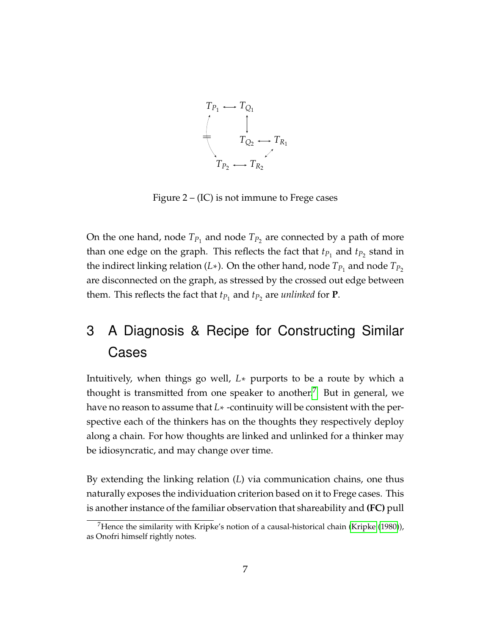<span id="page-6-0"></span>

Figure  $2 - (IC)$  is not immune to Frege cases

On the one hand, node  $T_{P_1}$  and node  $T_{P_2}$  are connected by a path of more than one edge on the graph. This reflects the fact that  $t_{P_1}$  and  $t_{P_2}$  stand in the indirect linking relation (*L*∗). On the other hand, node  $T_{P_1}$  and node  $T_{P_2}$ are disconnected on the graph, as stressed by the crossed out edge between them. This reflects the fact that  $t_{P_1}$  and  $t_{P_2}$  are *unlinked* for **P**.

## 3 A Diagnosis & Recipe for Constructing Similar Cases

Intuitively, when things go well, *L*∗ purports to be a route by which a thought is transmitted from one speaker to another.<sup>[7](#page-0-0)</sup> But in general, we have no reason to assume that *L*∗ -continuity will be consistent with the perspective each of the thinkers has on the thoughts they respectively deploy along a chain. For how thoughts are linked and unlinked for a thinker may be idiosyncratic, and may change over time.

By extending the linking relation (*L*) via communication chains, one thus naturally exposes the individuation criterion based on it to Frege cases. This is another instance of the familiar observation that shareability and **(FC)** pull

<sup>&</sup>lt;sup>7</sup>Hence the similarity with Kripke's notion of a causal-historical chain [\(Kripke](#page-10-4) [\(1980\)](#page-10-4)), as Onofri himself rightly notes.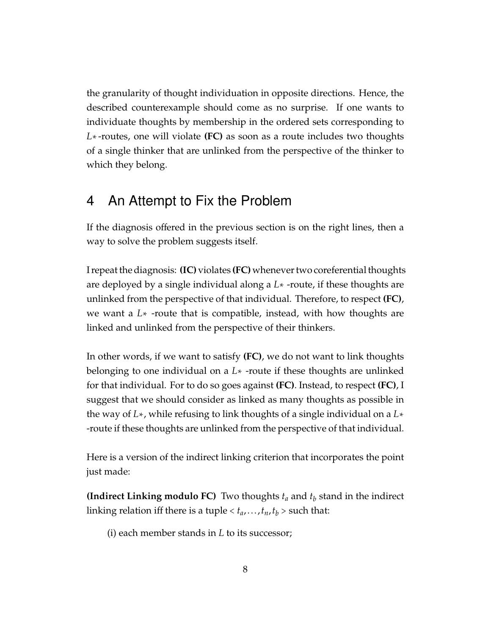the granularity of thought individuation in opposite directions. Hence, the described counterexample should come as no surprise. If one wants to individuate thoughts by membership in the ordered sets corresponding to *L*∗-routes, one will violate **(FC)** as soon as a route includes two thoughts of a single thinker that are unlinked from the perspective of the thinker to which they belong.

#### 4 An Attempt to Fix the Problem

If the diagnosis offered in the previous section is on the right lines, then a way to solve the problem suggests itself.

I repeat the diagnosis: **(IC)** violates **(FC)** whenever two coreferential thoughts are deployed by a single individual along a *L*∗ -route, if these thoughts are unlinked from the perspective of that individual. Therefore, to respect **(FC)**, we want a *L*∗ -route that is compatible, instead, with how thoughts are linked and unlinked from the perspective of their thinkers.

In other words, if we want to satisfy **(FC)**, we do not want to link thoughts belonging to one individual on a *L*∗ -route if these thoughts are unlinked for that individual. For to do so goes against **(FC)**. Instead, to respect **(FC)**, I suggest that we should consider as linked as many thoughts as possible in the way of *L*∗, while refusing to link thoughts of a single individual on a *L*∗ -route if these thoughts are unlinked from the perspective of that individual.

Here is a version of the indirect linking criterion that incorporates the point just made:

**(Indirect Linking modulo FC)** Two thoughts *t<sup>a</sup>* and *t<sup>b</sup>* stand in the indirect linking relation iff there is a tuple  $< t_a, \ldots, t_n, t_b$  > such that:

(i) each member stands in *L* to its successor;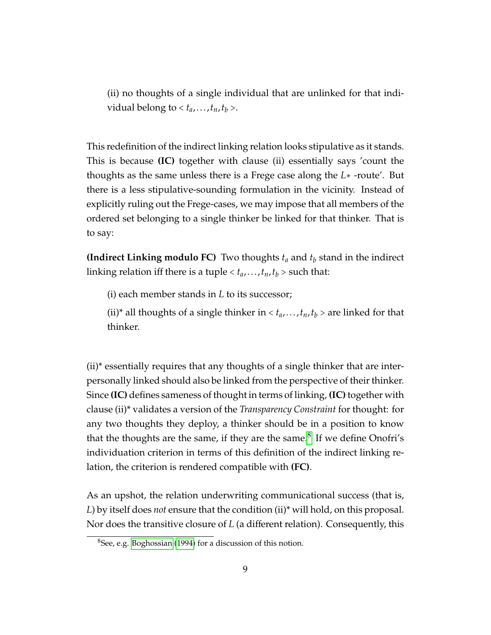(ii) no thoughts of a single individual that are unlinked for that individual belong to  $< t_a, \ldots, t_n, t_b$  >.

This redefinition of the indirect linking relation looks stipulative as it stands. This is because **(IC)** together with clause (ii) essentially says 'count the thoughts as the same unless there is a Frege case along the *L*∗ -route'. But there is a less stipulative-sounding formulation in the vicinity. Instead of explicitly ruling out the Frege-cases, we may impose that all members of the ordered set belonging to a single thinker be linked for that thinker. That is to say:

**(Indirect Linking modulo FC)** Two thoughts *t<sup>a</sup>* and *t<sup>b</sup>* stand in the indirect linking relation iff there is a tuple  $< t_a, \ldots, t_n, t_b$  > such that:

(i) each member stands in *L* to its successor;

(ii)<sup>\*</sup> all thoughts of a single thinker in  $\langle t_a, \ldots, t_n, t_b \rangle$  are linked for that thinker.

(ii)\* essentially requires that any thoughts of a single thinker that are interpersonally linked should also be linked from the perspective of their thinker. Since **(IC)** defines sameness of thought in terms of linking, **(IC)** together with clause (ii)\* validates a version of the *Transparency Constraint* for thought: for any two thoughts they deploy, a thinker should be in a position to know that the thoughts are the same, if they are the same.<sup>[8](#page-0-0)</sup> If we define Onofri's individuation criterion in terms of this definition of the indirect linking relation, the criterion is rendered compatible with **(FC)**.

As an upshot, the relation underwriting communicational success (that is, *L*) by itself does *not* ensure that the condition (ii)\* will hold, on this proposal. Nor does the transitive closure of *L* (a different relation). Consequently, this

<sup>8</sup>See, e.g. [Boghossian](#page-9-0) [\(1994\)](#page-9-0) for a discussion of this notion.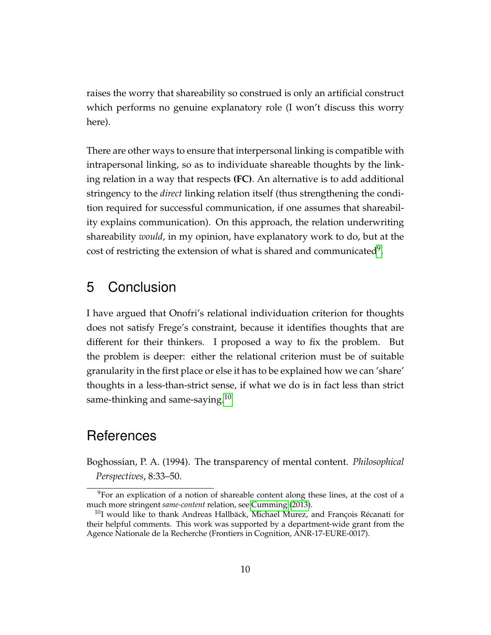raises the worry that shareability so construed is only an artificial construct which performs no genuine explanatory role (I won't discuss this worry here).

There are other ways to ensure that interpersonal linking is compatible with intrapersonal linking, so as to individuate shareable thoughts by the linking relation in a way that respects **(FC)**. An alternative is to add additional stringency to the *direct* linking relation itself (thus strengthening the condition required for successful communication, if one assumes that shareability explains communication). On this approach, the relation underwriting shareability *would*, in my opinion, have explanatory work to do, but at the cost of restricting the extension of what is shared and communicated<sup>[9](#page-0-0)</sup>.

#### 5 Conclusion

I have argued that Onofri's relational individuation criterion for thoughts does not satisfy Frege's constraint, because it identifies thoughts that are different for their thinkers. I proposed a way to fix the problem. But the problem is deeper: either the relational criterion must be of suitable granularity in the first place or else it has to be explained how we can 'share' thoughts in a less-than-strict sense, if what we do is in fact less than strict same-thinking and same-saying.<sup>[10](#page-0-0)</sup>

#### References

<span id="page-9-0"></span>Boghossian, P. A. (1994). The transparency of mental content. *Philosophical Perspectives*, 8:33–50.

<sup>9</sup>For an explication of a notion of shareable content along these lines, at the cost of a much more stringent *same-content* relation, see [Cumming](#page-10-5) [\(2013\)](#page-10-5).

 $^{10}$ I would like to thank Andreas Hallbäck, Michael Murez, and François Récanati for their helpful comments. This work was supported by a department-wide grant from the Agence Nationale de la Recherche (Frontiers in Cognition, ANR-17-EURE-0017).